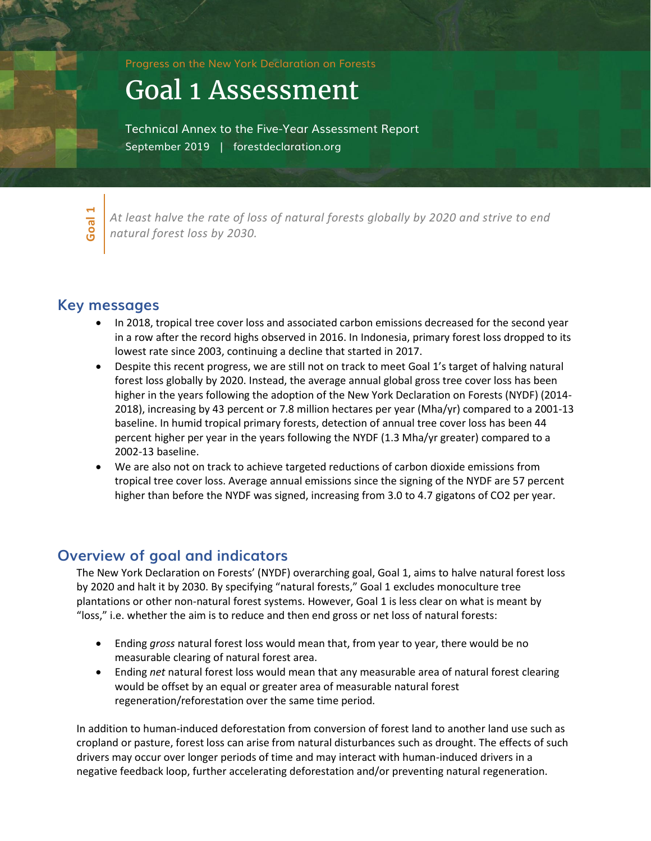Progress on the New York Declaration on Forests

# Goal 1 Assessment

Technical Annex to the Five-Year Assessment Report September 2019 | forestdeclaration.org



*At least halve the rate of loss of natural forests globally by 2020 and strive to end natural forest loss by 2030.* 

# **Key messages**

- In 2018, tropical tree cover loss and associated carbon emissions decreased for the second year in a row after the record highs observed in 2016. In Indonesia, primary forest loss dropped to its lowest rate since 2003, continuing a decline that started in 2017.
- Despite this recent progress, we are still not on track to meet Goal 1's target of halving natural forest loss globally by 2020. Instead, the average annual global gross tree cover loss has been higher in the years following the adoption of the New York Declaration on Forests (NYDF) (2014- 2018), increasing by 43 percent or 7.8 million hectares per year (Mha/yr) compared to a 2001-13 baseline. In humid tropical primary forests, detection of annual tree cover loss has been 44 percent higher per year in the years following the NYDF (1.3 Mha/yr greater) compared to a 2002-13 baseline.
- We are also not on track to achieve targeted reductions of carbon dioxide emissions from tropical tree cover loss. Average annual emissions since the signing of the NYDF are 57 percent higher than before the NYDF was signed, increasing from 3.0 to 4.7 gigatons of CO2 per year.

# **Overview of goal and indicators**

The New York Declaration on Forests' (NYDF) overarching goal, Goal 1, aims to halve natural forest loss by 2020 and halt it by 2030. By specifying "natural forests," Goal 1 excludes monoculture tree plantations or other non-natural forest systems. However, Goal 1 is less clear on what is meant by "loss," i.e. whether the aim is to reduce and then end gross or net loss of natural forests:

- Ending *gross* natural forest loss would mean that, from year to year, there would be no measurable clearing of natural forest area.
- Ending *net* natural forest loss would mean that any measurable area of natural forest clearing would be offset by an equal or greater area of measurable natural forest regeneration/reforestation over the same time period.

In addition to human-induced deforestation from conversion of forest land to another land use such as cropland or pasture, forest loss can arise from natural disturbances such as drought. The effects of such drivers may occur over longer periods of time and may interact with human-induced drivers in a negative feedback loop, further accelerating deforestation and/or preventing natural regeneration.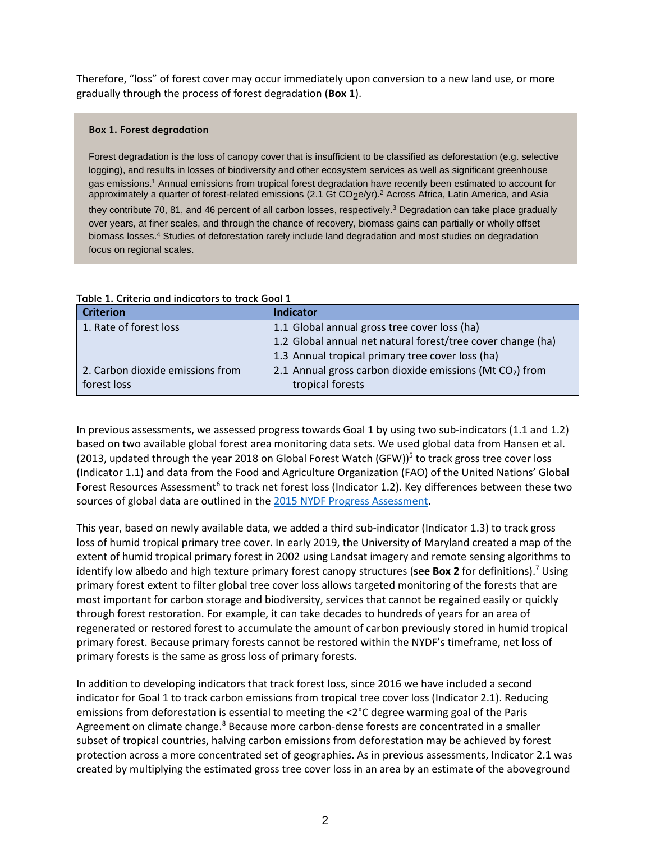Therefore, "loss" of forest cover may occur immediately upon conversion to a new land use, or more gradually through the process of forest degradation (**Box 1**).

### **Box 1. Forest degradation**

Forest degradation is the loss of canopy cover that is insufficient to be classified as deforestation (e.g. selective logging), and results in losses of biodiversity and other ecosystem services as well as significant greenhouse gas emissions. <sup>1</sup> Annual emissions from tropical forest degradation have recently been estimated to account for approximately a quarter of forest-related emissions (2.1 Gt CO<sub>2</sub>e/yr).<sup>2</sup> Across Africa, Latin America, and Asia they contribute 70, 81, and 46 percent of all carbon losses, respectively.<sup>3</sup> Degradation can take place gradually over years, at finer scales, and through the chance of recovery, biomass gains can partially or wholly offset biomass losses. <sup>4</sup> Studies of deforestation rarely include land degradation and most studies on degradation focus on regional scales.

| <b>Criterion</b>                 | <b>Indicator</b>                                            |
|----------------------------------|-------------------------------------------------------------|
| 1. Rate of forest loss           | 1.1 Global annual gross tree cover loss (ha)                |
|                                  | 1.2 Global annual net natural forest/tree cover change (ha) |
|                                  | 1.3 Annual tropical primary tree cover loss (ha)            |
| 2. Carbon dioxide emissions from | 2.1 Annual gross carbon dioxide emissions (Mt $CO2$ ) from  |
| forest loss                      | tropical forests                                            |

# **Table 1. Criteria and indicators to track Goal 1**

In previous assessments, we assessed progress towards Goal 1 by using two sub-indicators (1.1 and 1.2) based on two available global forest area monitoring data sets. We used global data from Hansen et al. (2013, updated through the year 2018 on Global Forest Watch (GFW))<sup>5</sup> to track gross tree cover loss (Indicator 1.1) and data from the Food and Agriculture Organization (FAO) of the United Nations' Global Forest Resources Assessment<sup>6</sup> to track net forest loss (Indicator 1.2). Key differences between these two sources of global data are outlined in the [2015 NYDF Progress Assessment.](https://forestdeclaration.org/images/uploads/resource/2015NYDFReport.pdf)

This year, based on newly available data, we added a third sub-indicator (Indicator 1.3) to track gross loss of humid tropical primary tree cover. In early 2019, the University of Maryland created a map of the extent of humid tropical primary forest in 2002 using Landsat imagery and remote sensing algorithms to identify low albedo and high texture primary forest canopy structures (**see Box 2** for definitions). <sup>7</sup> Using primary forest extent to filter global tree cover loss allows targeted monitoring of the forests that are most important for carbon storage and biodiversity, services that cannot be regained easily or quickly through forest restoration. For example, it can take decades to hundreds of years for an area of regenerated or restored forest to accumulate the amount of carbon previously stored in humid tropical primary forest. Because primary forests cannot be restored within the NYDF's timeframe, net loss of primary forests is the same as gross loss of primary forests.

In addition to developing indicators that track forest loss, since 2016 we have included a second indicator for Goal 1 to track carbon emissions from tropical tree cover loss (Indicator 2.1). Reducing emissions from deforestation is essential to meeting the <2°C degree warming goal of the Paris Agreement on climate change.<sup>8</sup> Because more carbon-dense forests are concentrated in a smaller subset of tropical countries, halving carbon emissions from deforestation may be achieved by forest protection across a more concentrated set of geographies. As in previous assessments, Indicator 2.1 was created by multiplying the estimated gross tree cover loss in an area by an estimate of the aboveground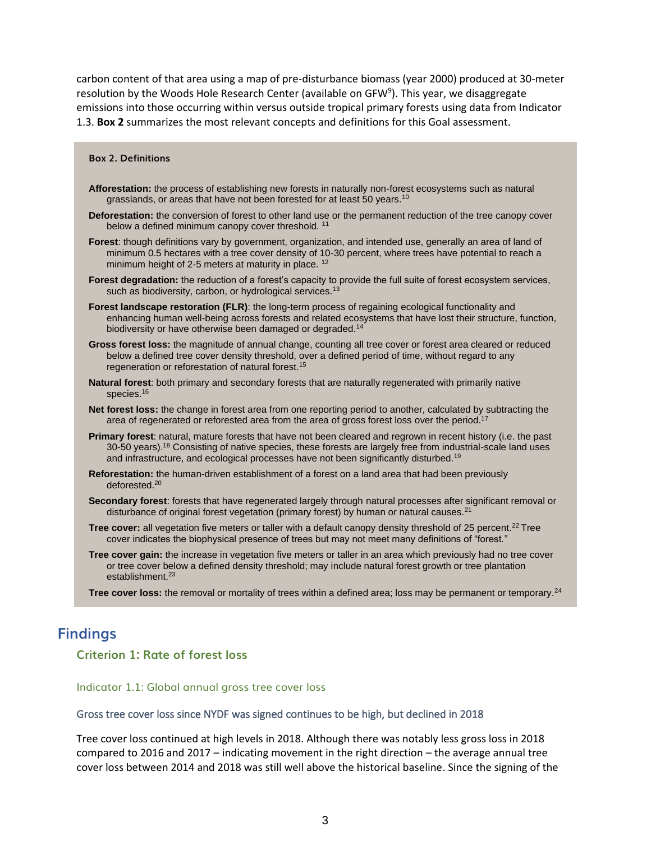carbon content of that area using a map of pre-disturbance biomass (year 2000) produced at 30-meter resolution by the Woods Hole Research Center (available on GFW<sup>9</sup>). This year, we disaggregate emissions into those occurring within versus outside tropical primary forests using data from Indicator 1.3. **Box 2** summarizes the most relevant concepts and definitions for this Goal assessment.

#### **Box 2. Definitions**

- **Afforestation:** the process of establishing new forests in naturally non-forest ecosystems such as natural grasslands, or areas that have not been forested for at least 50 years.<sup>10</sup>
- **Deforestation:** the conversion of forest to other land use or the permanent reduction of the tree canopy cover below a defined minimum canopy cover threshold.<sup>11</sup>
- **Forest**: though definitions vary by government, organization, and intended use, generally an area of land of minimum 0.5 hectares with a tree cover density of 10-30 percent, where trees have potential to reach a minimum height of 2-5 meters at maturity in place. <sup>12</sup>
- **Forest degradation:** the reduction of a forest's capacity to provide the full suite of forest ecosystem services, such as biodiversity, carbon, or hydrological services.<sup>13</sup>
- **Forest landscape restoration (FLR)**: the long-term process of regaining ecological functionality and enhancing human well-being across forests and related ecosystems that have lost their structure, function, biodiversity or have otherwise been damaged or degraded.<sup>14</sup>
- **Gross forest loss:** the magnitude of annual change, counting all tree cover or forest area cleared or reduced below a defined tree cover density threshold, over a defined period of time, without regard to any regeneration or reforestation of natural forest.<sup>15</sup>
- **Natural forest**: both primary and secondary forests that are naturally regenerated with primarily native species.<sup>16</sup>
- **Net forest loss:** the change in forest area from one reporting period to another, calculated by subtracting the area of regenerated or reforested area from the area of gross forest loss over the period.<sup>17</sup>
- **Primary forest**: natural, mature forests that have not been cleared and regrown in recent history (i.e. the past 30-50 years).<sup>18</sup> Consisting of native species, these forests are largely free from industrial-scale land uses and infrastructure, and ecological processes have not been significantly disturbed.<sup>19</sup>
- **Reforestation:** the human-driven establishment of a forest on a land area that had been previously deforested.<sup>20</sup>
- **Secondary forest**: forests that have regenerated largely through natural processes after significant removal or disturbance of original forest vegetation (primary forest) by human or natural causes.<sup>21</sup>
- **Tree cover:** all vegetation five meters or taller with a default canopy density threshold of 25 percent.<sup>22</sup> Tree cover indicates the biophysical presence of trees but may not meet many definitions of "forest."
- **Tree cover gain:** the increase in vegetation five meters or taller in an area which previously had no tree cover or tree cover below a defined density threshold; may include natural forest growth or tree plantation establishment.<sup>23</sup>
- **Tree cover loss:** the removal or mortality of trees within a defined area; loss may be permanent or temporary.<sup>24</sup>

# **Findings**

# **Criterion 1: Rate of forest loss**

#### Indicator 1.1: Global annual gross tree cover loss

#### Gross tree cover loss since NYDF was signed continues to be high, but declined in 2018

Tree cover loss continued at high levels in 2018. Although there was notably less gross loss in 2018 compared to 2016 and 2017 – indicating movement in the right direction – the average annual tree cover loss between 2014 and 2018 was still well above the historical baseline. Since the signing of the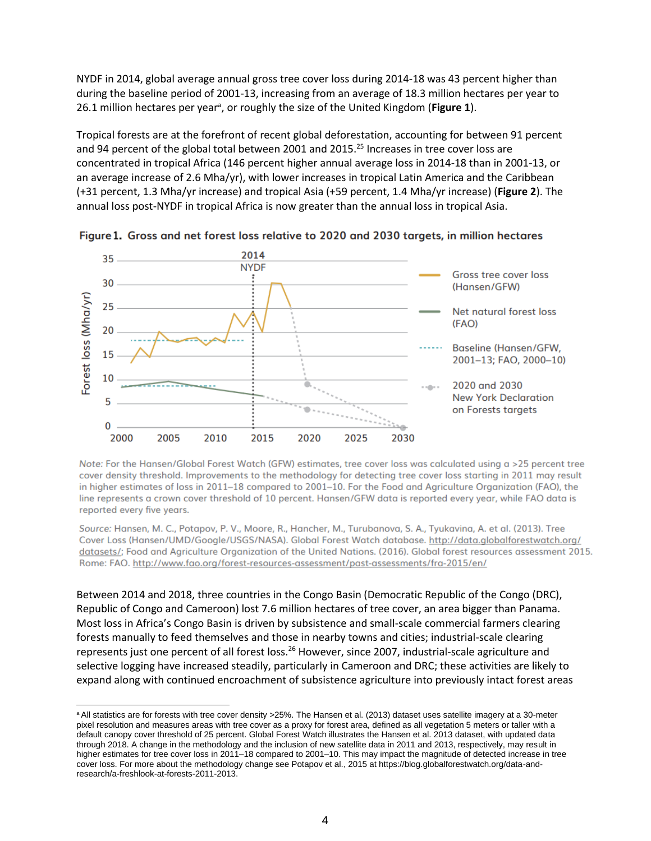NYDF in 2014, global average annual gross tree cover loss during 2014-18 was 43 percent higher than during the baseline period of 2001-13, increasing from an average of 18.3 million hectares per year to 26.1 million hectares per year<sup>a</sup>, or roughly the size of the United Kingdom (Figure 1).

Tropical forests are at the forefront of recent global deforestation, accounting for between 91 percent and 94 percent of the global total between 2001 and 2015.<sup>25</sup> Increases in tree cover loss are concentrated in tropical Africa (146 percent higher annual average loss in 2014-18 than in 2001-13, or an average increase of 2.6 Mha/yr), with lower increases in tropical Latin America and the Caribbean (+31 percent, 1.3 Mha/yr increase) and tropical Asia (+59 percent, 1.4 Mha/yr increase) (**Figure 2**). The annual loss post-NYDF in tropical Africa is now greater than the annual loss in tropical Asia.



Figure 1. Gross and net forest loss relative to 2020 and 2030 targets, in million hectares

Note: For the Hansen/Global Forest Watch (GFW) estimates, tree cover loss was calculated using a >25 percent tree cover density threshold. Improvements to the methodology for detecting tree cover loss starting in 2011 may result in higher estimates of loss in 2011-18 compared to 2001-10. For the Food and Agriculture Organization (FAO), the line represents a crown cover threshold of 10 percent. Hansen/GFW data is reported every year, while FAO data is reported every five years.

Source: Hansen, M. C., Potapov, P. V., Moore, R., Hancher, M., Turubanova, S. A., Tyukavina, A. et al. (2013). Tree Cover Loss (Hansen/UMD/Google/USGS/NASA). Global Forest Watch database. http://data.globalforestwatch.org/ datasets/; Food and Agriculture Organization of the United Nations. (2016). Global forest resources assessment 2015. Rome: FAO. http://www.fao.org/forest-resources-assessment/past-assessments/fra-2015/en/

Between 2014 and 2018, three countries in the Congo Basin (Democratic Republic of the Congo (DRC), Republic of Congo and Cameroon) lost 7.6 million hectares of tree cover, an area bigger than Panama. Most loss in Africa's Congo Basin is driven by subsistence and small-scale commercial farmers clearing forests manually to feed themselves and those in nearby towns and cities; industrial-scale clearing represents just one percent of all forest loss.<sup>26</sup> However, since 2007, industrial-scale agriculture and selective logging have increased steadily, particularly in Cameroon and DRC; these activities are likely to expand along with continued encroachment of subsistence agriculture into previously intact forest areas

a All statistics are for forests with tree cover density >25%. The Hansen et al. (2013) dataset uses satellite imagery at a 30-meter pixel resolution and measures areas with tree cover as a proxy for forest area, defined as all vegetation 5 meters or taller with a default canopy cover threshold of 25 percent. Global Forest Watch illustrates the Hansen et al. 2013 dataset, with updated data through 2018. A change in the methodology and the inclusion of new satellite data in 2011 and 2013, respectively, may result in higher estimates for tree cover loss in 2011–18 compared to 2001–10. This may impact the magnitude of detected increase in tree cover loss. For more about the methodology change see Potapov et al., 2015 at https://blog.globalforestwatch.org/data-andresearch/a-freshlook-at-forests-2011-2013.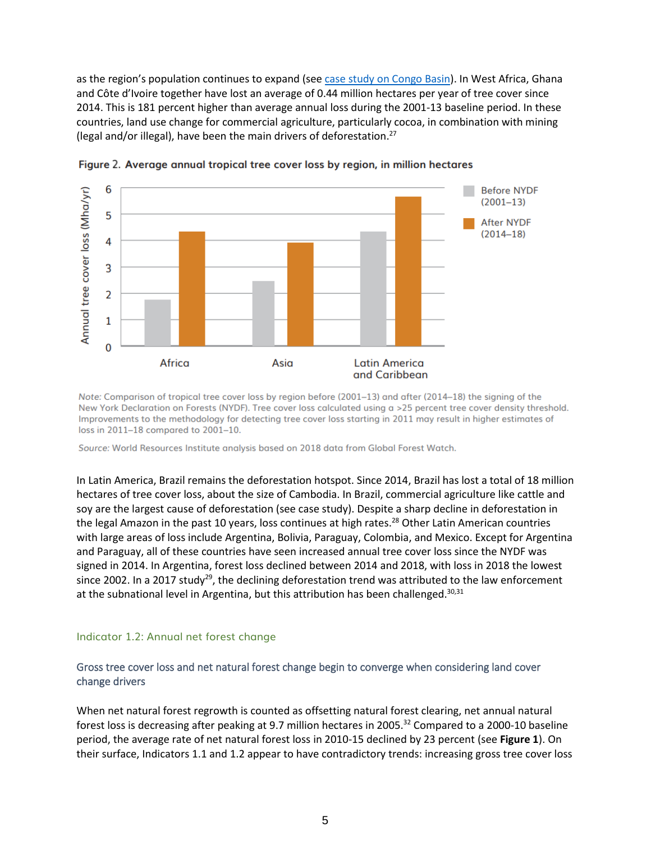as the region's population continues to expand (see case study [on Congo Basin\)](http://www.forestdeclaration.org/the-latest/case-study-congo-basin). In West Africa, Ghana and Côte d'Ivoire together have lost an average of 0.44 million hectares per year of tree cover since 2014. This is 181 percent higher than average annual loss during the 2001-13 baseline period. In these countries, land use change for commercial agriculture, particularly cocoa, in combination with mining (legal and/or illegal), have been the main drivers of deforestation.<sup>27</sup>



Figure 2. Average annual tropical tree cover loss by region, in million hectares

Note: Comparison of tropical tree cover loss by region before (2001-13) and after (2014-18) the signing of the New York Declaration on Forests (NYDF). Tree cover loss calculated using a >25 percent tree cover density threshold. Improvements to the methodology for detecting tree cover loss starting in 2011 may result in higher estimates of loss in 2011-18 compared to 2001-10.

Source: World Resources Institute analysis based on 2018 data from Global Forest Watch.

In Latin America, Brazil remains the deforestation hotspot. Since 2014, Brazil has lost a total of 18 million hectares of tree cover loss, about the size of Cambodia. In Brazil, commercial agriculture like cattle and soy are the largest cause of deforestation (see case study). Despite a sharp decline in deforestation in the legal Amazon in the past 10 years, loss continues at high rates.<sup>28</sup> Other Latin American countries with large areas of loss include Argentina, Bolivia, Paraguay, Colombia, and Mexico. Except for Argentina and Paraguay, all of these countries have seen increased annual tree cover loss since the NYDF was signed in 2014. In Argentina, forest loss declined between 2014 and 2018, with loss in 2018 the lowest since 2002. In a 2017 study<sup>29</sup>, the declining deforestation trend was attributed to the law enforcement at the subnational level in Argentina, but this attribution has been challenged. $30,31$ 

### Indicator 1.2: Annual net forest change

# Gross tree cover loss and net natural forest change begin to converge when considering land cover change drivers

When net natural forest regrowth is counted as offsetting natural forest clearing, net annual natural forest loss is decreasing after peaking at 9.7 million hectares in 2005.<sup>32</sup> Compared to a 2000-10 baseline period, the average rate of net natural forest loss in 2010-15 declined by 23 percent (see **Figure 1**). On their surface, Indicators 1.1 and 1.2 appear to have contradictory trends: increasing gross tree cover loss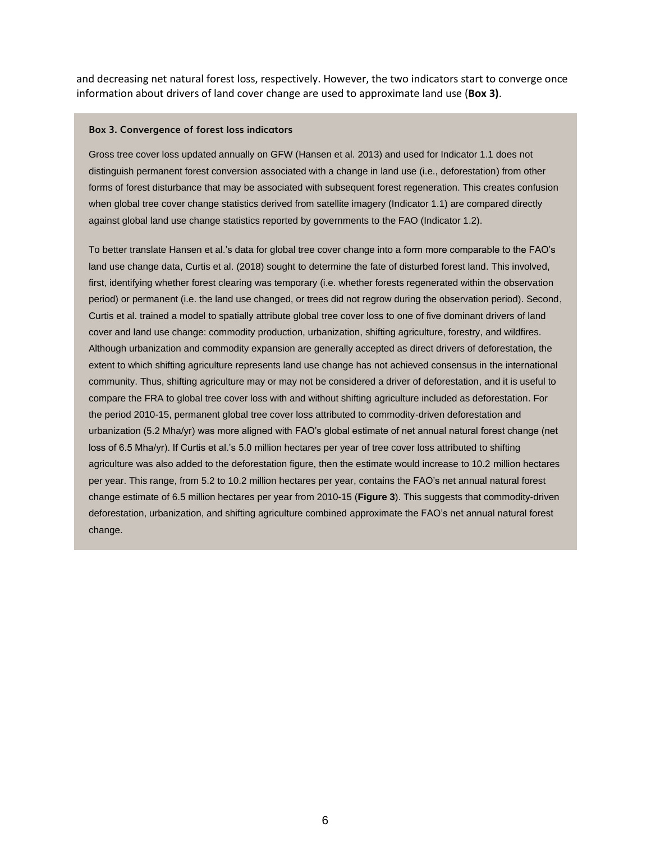and decreasing net natural forest loss, respectively. However, the two indicators start to converge once information about drivers of land cover change are used to approximate land use (**Box 3)**.

#### **Box 3. Convergence of forest loss indicators**

Gross tree cover loss updated annually on GFW (Hansen et al. 2013) and used for Indicator 1.1 does not distinguish permanent forest conversion associated with a change in land use (i.e., deforestation) from other forms of forest disturbance that may be associated with subsequent forest regeneration. This creates confusion when global tree cover change statistics derived from satellite imagery (Indicator 1.1) are compared directly against global land use change statistics reported by governments to the FAO (Indicator 1.2).

To better translate Hansen et al.'s data for global tree cover change into a form more comparable to the FAO's land use change data, Curtis et al. (2018) sought to determine the fate of disturbed forest land. This involved, first, identifying whether forest clearing was temporary (i.e. whether forests regenerated within the observation period) or permanent (i.e. the land use changed, or trees did not regrow during the observation period). Second, Curtis et al. trained a model to spatially attribute global tree cover loss to one of five dominant drivers of land cover and land use change: commodity production, urbanization, shifting agriculture, forestry, and wildfires. Although urbanization and commodity expansion are generally accepted as direct drivers of deforestation, the extent to which shifting agriculture represents land use change has not achieved consensus in the international community. Thus, shifting agriculture may or may not be considered a driver of deforestation, and it is useful to compare the FRA to global tree cover loss with and without shifting agriculture included as deforestation. For the period 2010-15, permanent global tree cover loss attributed to commodity-driven deforestation and urbanization (5.2 Mha/yr) was more aligned with FAO's global estimate of net annual natural forest change (net loss of 6.5 Mha/yr). If Curtis et al.'s 5.0 million hectares per year of tree cover loss attributed to shifting agriculture was also added to the deforestation figure, then the estimate would increase to 10.2 million hectares per year. This range, from 5.2 to 10.2 million hectares per year, contains the FAO's net annual natural forest change estimate of 6.5 million hectares per year from 2010-15 (**Figure 3**). This suggests that commodity-driven deforestation, urbanization, and shifting agriculture combined approximate the FAO's net annual natural forest change.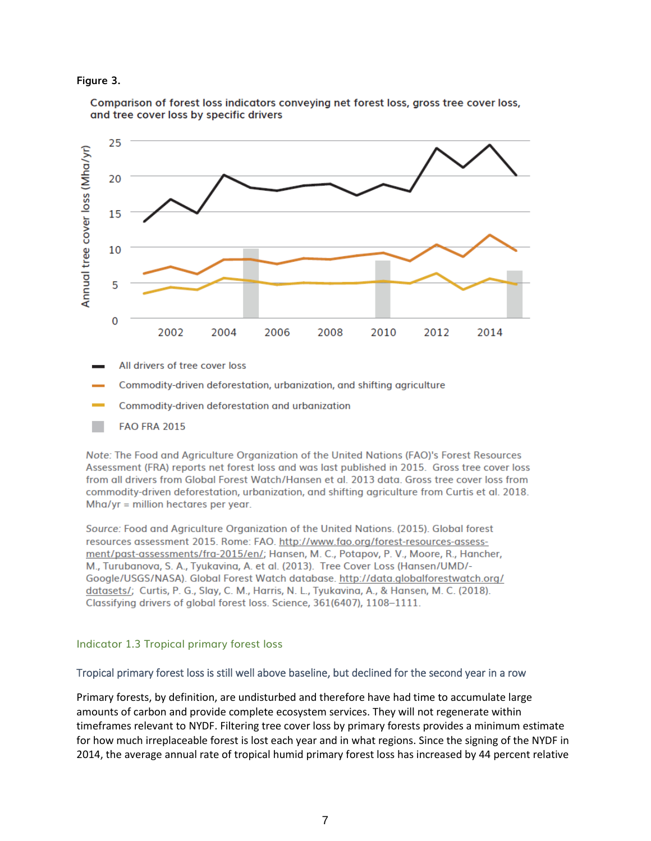### **Figure 3.**



Comparison of forest loss indicators conveying net forest loss, gross tree cover loss, and tree cover loss by specific drivers

- All drivers of tree cover loss
- Commodity-driven deforestation, urbanization, and shifting agriculture
- Commodity-driven deforestation and urbanization
- **FAO FRA 2015**

Note: The Food and Agriculture Organization of the United Nations (FAO)'s Forest Resources Assessment (FRA) reports net forest loss and was last published in 2015. Gross tree cover loss from all drivers from Global Forest Watch/Hansen et al. 2013 data. Gross tree cover loss from commodity-driven deforestation, urbanization, and shifting agriculture from Curtis et al. 2018.  $Mha/yr = million hectares per year.$ 

Source: Food and Agriculture Organization of the United Nations. (2015). Global forest resources assessment 2015. Rome: FAO. http://www.fao.org/forest-resources-assessment/past-assessments/fra-2015/en/; Hansen, M. C., Potapov, P. V., Moore, R., Hancher, M., Turubanova, S. A., Tyukavina, A. et al. (2013). Tree Cover Loss (Hansen/UMD/-Google/USGS/NASA). Global Forest Watch database. http://data.globalforestwatch.org/ datasets/; Curtis, P. G., Slay, C. M., Harris, N. L., Tyukavina, A., & Hansen, M. C. (2018). Classifying drivers of global forest loss. Science, 361(6407), 1108-1111.

### Indicator 1.3 Tropical primary forest loss

### Tropical primary forest loss is still well above baseline, but declined for the second year in a row

Primary forests, by definition, are undisturbed and therefore have had time to accumulate large amounts of carbon and provide complete ecosystem services. They will not regenerate within timeframes relevant to NYDF. Filtering tree cover loss by primary forests provides a minimum estimate for how much irreplaceable forest is lost each year and in what regions. Since the signing of the NYDF in 2014, the average annual rate of tropical humid primary forest loss has increased by 44 percent relative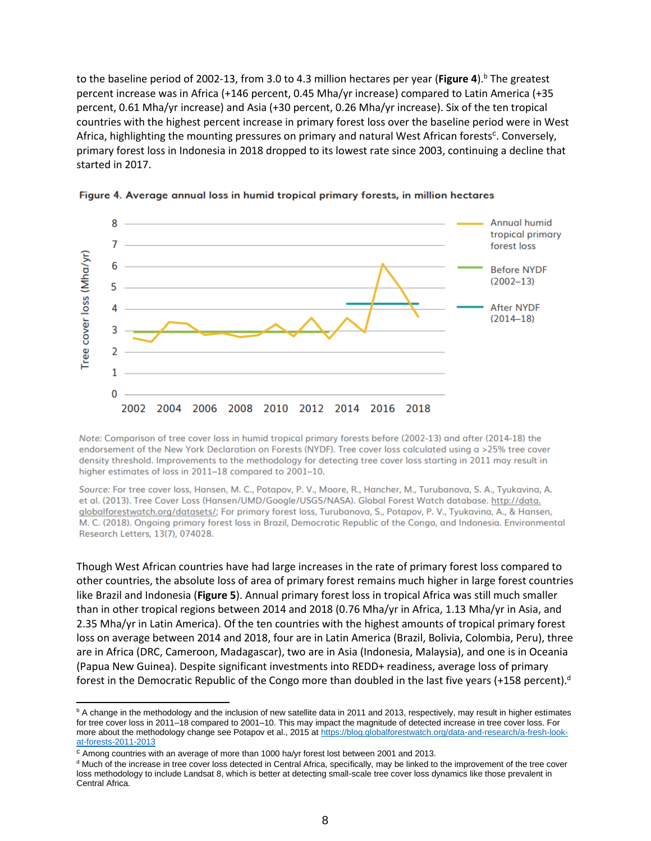to the baseline period of 2002-13, from 3.0 to 4.3 million hectares per year (**Figure 4**). <sup>b</sup> The greatest percent increase was in Africa (+146 percent, 0.45 Mha/yr increase) compared to Latin America (+35 percent, 0.61 Mha/yr increase) and Asia (+30 percent, 0.26 Mha/yr increase). Six of the ten tropical countries with the highest percent increase in primary forest loss over the baseline period were in West Africa, highlighting the mounting pressures on primary and natural West African forests<sup>c</sup>. Conversely, primary forest loss in Indonesia in 2018 dropped to its lowest rate since 2003, continuing a decline that started in 2017.





Note: Comparison of tree cover loss in humid tropical primary forests before (2002-13) and after (2014-18) the endorsement of the New York Declaration on Forests (NYDF). Tree cover loss calculated using a >25% tree cover density threshold. Improvements to the methodology for detecting tree cover loss starting in 2011 may result in higher estimates of loss in 2011-18 compared to 2001-10.

Source: For tree cover loss, Hansen, M. C., Potapov, P. V., Moore, R., Hancher, M., Turubanova, S. A., Tyukavina, A. et al. (2013). Tree Cover Loss (Hansen/UMD/Google/USGS/NASA). Global Forest Watch database. http://data. globalforestwatch.org/datasets/; For primary forest loss, Turubanova, S., Potapov, P. V., Tyukavina, A., & Hansen, M. C. (2018). Ongoing primary forest loss in Brazil, Democratic Republic of the Congo, and Indonesia. Environmental Research Letters, 13(7), 074028.

Though West African countries have had large increases in the rate of primary forest loss compared to other countries, the absolute loss of area of primary forest remains much higher in large forest countries like Brazil and Indonesia (**Figure 5**). Annual primary forest loss in tropical Africa was still much smaller than in other tropical regions between 2014 and 2018 (0.76 Mha/yr in Africa, 1.13 Mha/yr in Asia, and 2.35 Mha/yr in Latin America). Of the ten countries with the highest amounts of tropical primary forest loss on average between 2014 and 2018, four are in Latin America (Brazil, Bolivia, Colombia, Peru), three are in Africa (DRC, Cameroon, Madagascar), two are in Asia (Indonesia, Malaysia), and one is in Oceania (Papua New Guinea). Despite significant investments into REDD+ readiness, average loss of primary forest in the Democratic Republic of the Congo more than doubled in the last five years (+158 percent).<sup>d</sup>

 $b$  A change in the methodology and the inclusion of new satellite data in 2011 and 2013, respectively, may result in higher estimates for tree cover loss in 2011–18 compared to 2001–10. This may impact the magnitude of detected increase in tree cover loss. For more about the methodology change see Potapov et al., 2015 at [https://blog.globalforestwatch.org/data-and-research/a-fresh-look](https://blog.globalforestwatch.org/data-and-research/a-fresh-look-at-forests-2011-2013)[at-forests-2011-2013](https://blog.globalforestwatch.org/data-and-research/a-fresh-look-at-forests-2011-2013)

<sup>c</sup> Among countries with an average of more than 1000 ha/yr forest lost between 2001 and 2013.

<sup>d</sup> Much of the increase in tree cover loss detected in Central Africa, specifically, may be linked to the improvement of the tree cover loss methodology to include Landsat 8, which is better at detecting small-scale tree cover loss dynamics like those prevalent in Central Africa.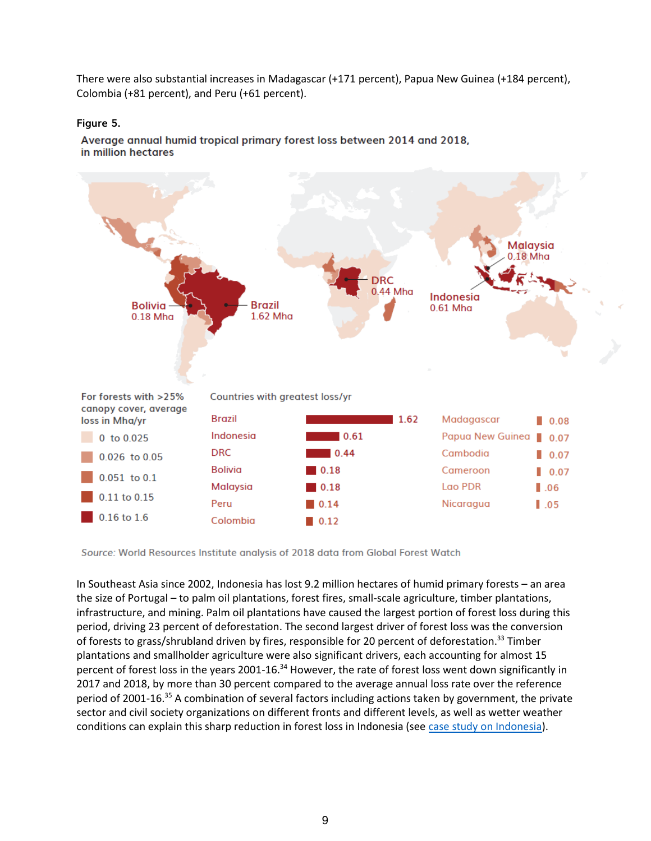There were also substantial increases in Madagascar (+171 percent), Papua New Guinea (+184 percent), Colombia (+81 percent), and Peru (+61 percent).

# **Figure 5.**

Average annual humid tropical primary forest loss between 2014 and 2018, in million hectares



Source: World Resources Institute analysis of 2018 data from Global Forest Watch

In Southeast Asia since 2002, Indonesia has lost 9.2 million hectares of humid primary forests – an area the size of Portugal – to palm oil plantations, forest fires, small-scale agriculture, timber plantations, infrastructure, and mining. Palm oil plantations have caused the largest portion of forest loss during this period, driving 23 percent of deforestation. The second largest driver of forest loss was the conversion of forests to grass/shrubland driven by fires, responsible for 20 percent of deforestation.<sup>33</sup> Timber plantations and smallholder agriculture were also significant drivers, each accounting for almost 15 percent of forest loss in the years 2001-16.<sup>34</sup> However, the rate of forest loss went down significantly in 2017 and 2018, by more than 30 percent compared to the average annual loss rate over the reference period of 2001-16.<sup>35</sup> A combination of several factors including actions taken by government, the private sector and civil society organizations on different fronts and different levels, as well as wetter weather conditions can explain this sharp reduction in forest loss in Indonesia (see [case study on Indonesia\)](http://www.forestdeclaration.org/the-latest/case-study-indonesia).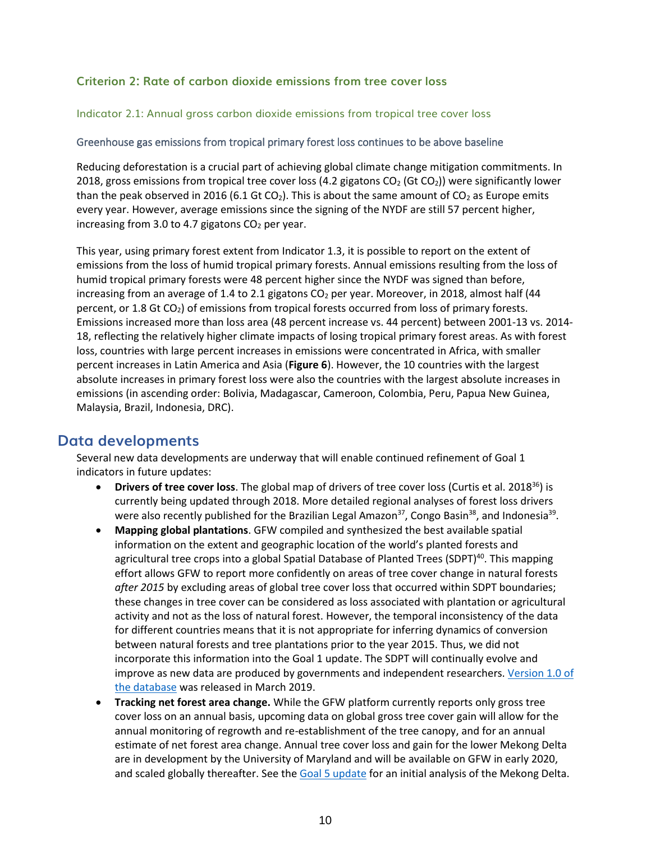# **Criterion 2: Rate of carbon dioxide emissions from tree cover loss**

# Indicator 2.1: Annual gross carbon dioxide emissions from tropical tree cover loss

# Greenhouse gas emissions from tropical primary forest loss continues to be above baseline

Reducing deforestation is a crucial part of achieving global climate change mitigation commitments. In 2018, gross emissions from tropical tree cover loss (4.2 gigatons  $CO<sub>2</sub>$  (Gt  $CO<sub>2</sub>$ )) were significantly lower than the peak observed in 2016 (6.1 Gt CO<sub>2</sub>). This is about the same amount of CO<sub>2</sub> as Europe emits every year. However, average emissions since the signing of the NYDF are still 57 percent higher, increasing from 3.0 to 4.7 gigatons  $CO<sub>2</sub>$  per year.

This year, using primary forest extent from Indicator 1.3, it is possible to report on the extent of emissions from the loss of humid tropical primary forests. Annual emissions resulting from the loss of humid tropical primary forests were 48 percent higher since the NYDF was signed than before, increasing from an average of 1.4 to 2.1 gigatons  $CO<sub>2</sub>$  per year. Moreover, in 2018, almost half (44 percent, or 1.8 Gt CO2) of emissions from tropical forests occurred from loss of primary forests. Emissions increased more than loss area (48 percent increase vs. 44 percent) between 2001-13 vs. 2014- 18, reflecting the relatively higher climate impacts of losing tropical primary forest areas. As with forest loss, countries with large percent increases in emissions were concentrated in Africa, with smaller percent increases in Latin America and Asia (**Figure 6**). However, the 10 countries with the largest absolute increases in primary forest loss were also the countries with the largest absolute increases in emissions (in ascending order: Bolivia, Madagascar, Cameroon, Colombia, Peru, Papua New Guinea, Malaysia, Brazil, Indonesia, DRC).

# **Data developments**

Several new data developments are underway that will enable continued refinement of Goal 1 indicators in future updates:

- **Drivers of tree cover loss**. The global map of drivers of tree cover loss (Curtis et al. 2018<sup>36</sup>) is currently being updated through 2018. More detailed regional analyses of forest loss drivers were also recently published for the Brazilian Legal Amazon<sup>37</sup>, Congo Basin<sup>38</sup>, and Indonesia<sup>39</sup>.
- **Mapping global plantations**. GFW compiled and synthesized the best available spatial information on the extent and geographic location of the world's planted forests and agricultural tree crops into a global Spatial Database of Planted Trees (SDPT)<sup>40</sup>. This mapping effort allows GFW to report more confidently on areas of tree cover change in natural forests *after 2015* by excluding areas of global tree cover loss that occurred within SDPT boundaries; these changes in tree cover can be considered as loss associated with plantation or agricultural activity and not as the loss of natural forest. However, the temporal inconsistency of the data for different countries means that it is not appropriate for inferring dynamics of conversion between natural forests and tree plantations prior to the year 2015. Thus, we did not incorporate this information into the Goal 1 update. The SDPT will continually evolve and improve as new data are produced by governments and independent researchers[. Version 1.0 of](http://data.globalforestwatch.org/datasets/planted-forests)  [the database](http://data.globalforestwatch.org/datasets/planted-forests) was released in March 2019.
- **Tracking net forest area change.** While the GFW platform currently reports only gross tree cover loss on an annual basis, upcoming data on global gross tree cover gain will allow for the annual monitoring of regrowth and re-establishment of the tree canopy, and for an annual estimate of net forest area change. Annual tree cover loss and gain for the lower Mekong Delta are in development by the University of Maryland and will be available on GFW in early 2020, and scaled globally thereafter. See the [Goal 5 update](http://www.forestdeclaration.org/goals/goal-5) for an initial analysis of the Mekong Delta.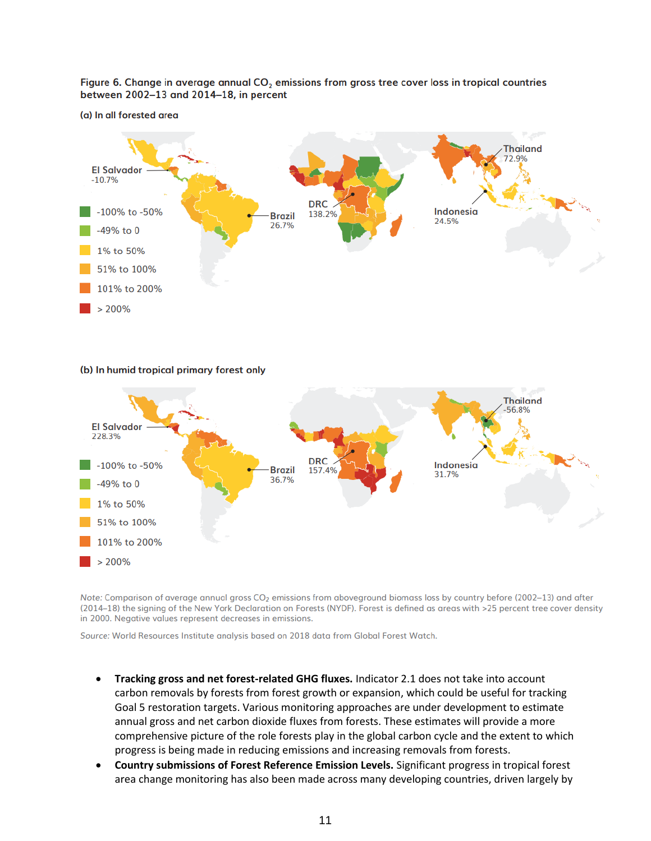Figure 6. Change in average annual CO<sub>2</sub> emissions from gross tree cover loss in tropical countries between 2002-13 and 2014-18, in percent

(a) In all forested area



(b) In humid tropical primary forest only



Note: Comparison of average annual gross CO<sub>2</sub> emissions from aboveground biomass loss by country before (2002-13) and after (2014-18) the signing of the New York Declaration on Forests (NYDF). Forest is defined as areas with >25 percent tree cover density in 2000. Negative values represent decreases in emissions.

Source: World Resources Institute analysis based on 2018 data from Global Forest Watch.

- **Tracking gross and net forest-related GHG fluxes.** Indicator 2.1 does not take into account carbon removals by forests from forest growth or expansion, which could be useful for tracking Goal 5 restoration targets. Various monitoring approaches are under development to estimate annual gross and net carbon dioxide fluxes from forests. These estimates will provide a more comprehensive picture of the role forests play in the global carbon cycle and the extent to which progress is being made in reducing emissions and increasing removals from forests.
- **Country submissions of Forest Reference Emission Levels.** Significant progress in tropical forest area change monitoring has also been made across many developing countries, driven largely by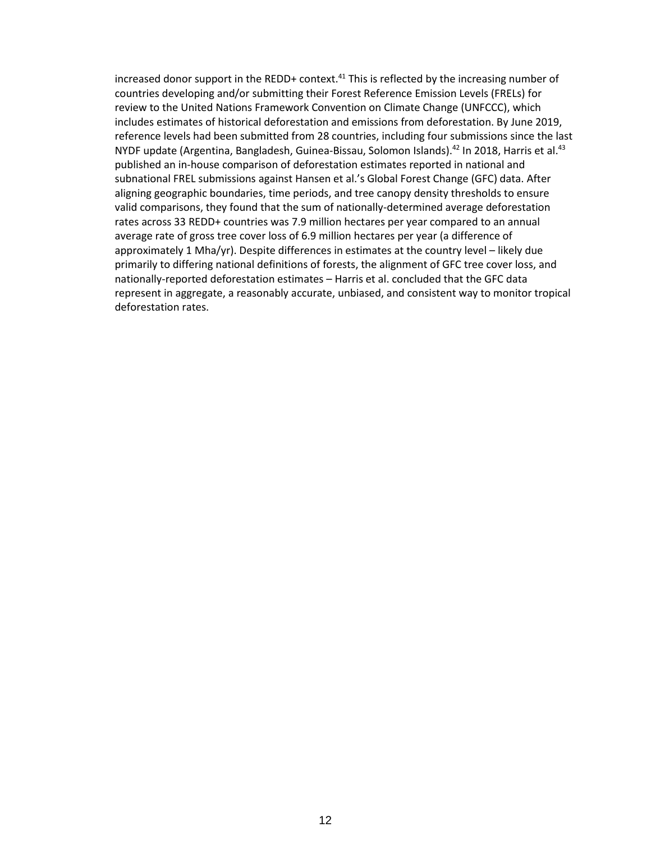increased donor support in the REDD+ context.<sup>41</sup> This is reflected by the increasing number of countries developing and/or submitting their Forest Reference Emission Levels (FRELs) for review to the United Nations Framework Convention on Climate Change (UNFCCC), which includes estimates of historical deforestation and emissions from deforestation. By June 2019, reference levels had been submitted from 28 countries, including four submissions since the last NYDF update (Argentina, Bangladesh, Guinea-Bissau, Solomon Islands).<sup>42</sup> In 2018, Harris et al.<sup>43</sup> published an in-house comparison of deforestation estimates reported in national and subnational FREL submissions against Hansen et al.'s Global Forest Change (GFC) data. After aligning geographic boundaries, time periods, and tree canopy density thresholds to ensure valid comparisons, they found that the sum of nationally-determined average deforestation rates across 33 REDD+ countries was 7.9 million hectares per year compared to an annual average rate of gross tree cover loss of 6.9 million hectares per year (a difference of approximately 1 Mha/yr). Despite differences in estimates at the country level – likely due primarily to differing national definitions of forests, the alignment of GFC tree cover loss, and nationally-reported deforestation estimates – Harris et al. concluded that the GFC data represent in aggregate, a reasonably accurate, unbiased, and consistent way to monitor tropical deforestation rates.